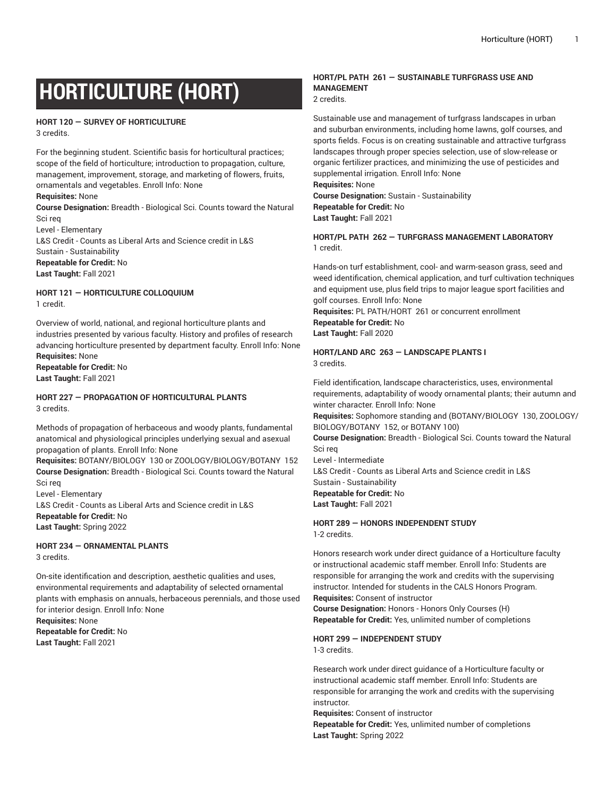# **HORTICULTURE (HORT)**

# **HORT 120 — SURVEY OF HORTICULTURE**

3 credits.

For the beginning student. Scientific basis for horticultural practices; scope of the field of horticulture; introduction to propagation, culture, management, improvement, storage, and marketing of flowers, fruits, ornamentals and vegetables. Enroll Info: None

#### **Requisites:** None

**Course Designation:** Breadth - Biological Sci. Counts toward the Natural Sci req

Level - Elementary L&S Credit - Counts as Liberal Arts and Science credit in L&S Sustain - Sustainability **Repeatable for Credit:** No

**Last Taught:** Fall 2021

**HORT 121 — HORTICULTURE COLLOQUIUM** 1 credit.

Overview of world, national, and regional horticulture plants and industries presented by various faculty. History and profiles of research advancing horticulture presented by department faculty. Enroll Info: None **Requisites:** None **Repeatable for Credit:** No

**Last Taught:** Fall 2021

#### **HORT 227 — PROPAGATION OF HORTICULTURAL PLANTS** 3 credits.

Methods of propagation of herbaceous and woody plants, fundamental anatomical and physiological principles underlying sexual and asexual propagation of plants. Enroll Info: None

**Requisites:** BOTANY/BIOLOGY 130 or ZOOLOGY/BIOLOGY/BOTANY 152 **Course Designation:** Breadth - Biological Sci. Counts toward the Natural Sci req

Level - Elementary L&S Credit - Counts as Liberal Arts and Science credit in L&S **Repeatable for Credit:** No **Last Taught:** Spring 2022

**HORT 234 — ORNAMENTAL PLANTS** 3 credits.

On-site identification and description, aesthetic qualities and uses, environmental requirements and adaptability of selected ornamental plants with emphasis on annuals, herbaceous perennials, and those used for interior design. Enroll Info: None

**Requisites:** None **Repeatable for Credit:** No **Last Taught:** Fall 2021

#### **HORT/PL PATH 261 — SUSTAINABLE TURFGRASS USE AND MANAGEMENT**

2 credits.

Sustainable use and management of turfgrass landscapes in urban and suburban environments, including home lawns, golf courses, and sports fields. Focus is on creating sustainable and attractive turfgrass landscapes through proper species selection, use of slow-release or organic fertilizer practices, and minimizing the use of pesticides and supplemental irrigation. Enroll Info: None **Requisites:** None **Course Designation:** Sustain - Sustainability

**Repeatable for Credit:** No **Last Taught:** Fall 2021

**HORT/PL PATH 262 — TURFGRASS MANAGEMENT LABORATORY** 1 credit.

Hands-on turf establishment, cool- and warm-season grass, seed and weed identification, chemical application, and turf cultivation techniques and equipment use, plus field trips to major league sport facilities and golf courses. Enroll Info: None **Requisites:** PL PATH/HORT 261 or concurrent enrollment **Repeatable for Credit:** No **Last Taught:** Fall 2020

#### **HORT/LAND ARC 263 — LANDSCAPE PLANTS I** 3 credits.

Field identification, landscape characteristics, uses, environmental requirements, adaptability of woody ornamental plants; their autumn and winter character. Enroll Info: None

**Requisites:** Sophomore standing and (BOTANY/BIOLOGY 130, ZOOLOGY/ BIOLOGY/BOTANY 152, or BOTANY 100)

**Course Designation:** Breadth - Biological Sci. Counts toward the Natural Sci req

Level - Intermediate L&S Credit - Counts as Liberal Arts and Science credit in L&S Sustain - Sustainability **Repeatable for Credit:** No

**Last Taught:** Fall 2021

**HORT 289 — HONORS INDEPENDENT STUDY**

1-2 credits.

Honors research work under direct guidance of a Horticulture faculty or instructional academic staff member. Enroll Info: Students are responsible for arranging the work and credits with the supervising instructor. Intended for students in the CALS Honors Program. **Requisites:** Consent of instructor

**Course Designation:** Honors - Honors Only Courses (H) **Repeatable for Credit:** Yes, unlimited number of completions

**HORT 299 — INDEPENDENT STUDY**

1-3 credits.

Research work under direct guidance of a Horticulture faculty or instructional academic staff member. Enroll Info: Students are responsible for arranging the work and credits with the supervising instructor.

**Requisites:** Consent of instructor

**Repeatable for Credit:** Yes, unlimited number of completions **Last Taught:** Spring 2022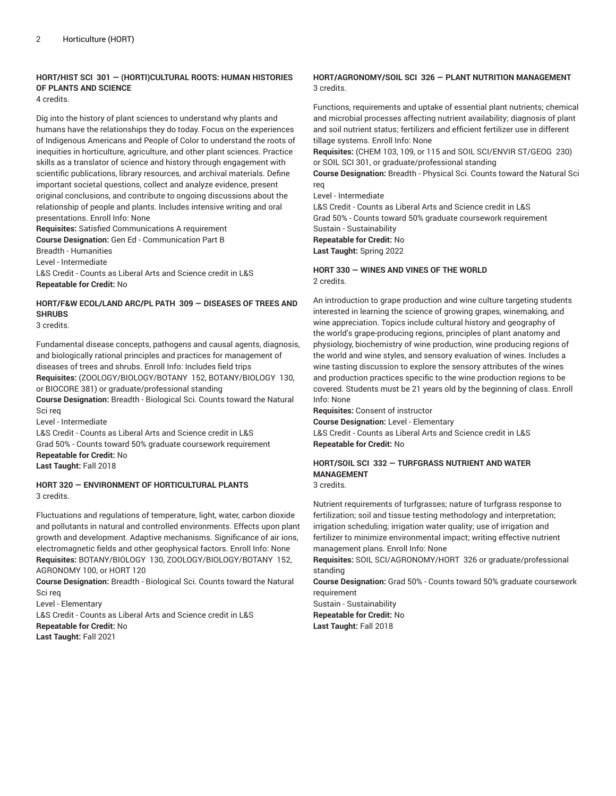# **HORT/HIST SCI 301 — (HORTI)CULTURAL ROOTS: HUMAN HISTORIES OF PLANTS AND SCIENCE**

4 credits.

Dig into the history of plant sciences to understand why plants and humans have the relationships they do today. Focus on the experiences of Indigenous Americans and People of Color to understand the roots of inequities in horticulture, agriculture, and other plant sciences. Practice skills as a translator of science and history through engagement with scientific publications, library resources, and archival materials. Define important societal questions, collect and analyze evidence, present original conclusions, and contribute to ongoing discussions about the relationship of people and plants. Includes intensive writing and oral presentations. Enroll Info: None

**Requisites:** Satisfied Communications A requirement **Course Designation:** Gen Ed - Communication Part B

Breadth - Humanities

Level - Intermediate

L&S Credit - Counts as Liberal Arts and Science credit in L&S **Repeatable for Credit:** No

# **HORT/F&W ECOL/LAND ARC/PL PATH 309 — DISEASES OF TREES AND SHRUBS**

3 credits.

Fundamental disease concepts, pathogens and causal agents, diagnosis, and biologically rational principles and practices for management of diseases of trees and shrubs. Enroll Info: Includes field trips **Requisites:** (ZOOLOGY/BIOLOGY/BOTANY 152, BOTANY/BIOLOGY 130, or BIOCORE 381) or graduate/professional standing

**Course Designation:** Breadth - Biological Sci. Counts toward the Natural Sci req

Level - Intermediate

L&S Credit - Counts as Liberal Arts and Science credit in L&S Grad 50% - Counts toward 50% graduate coursework requirement **Repeatable for Credit:** No **Last Taught:** Fall 2018

#### **HORT 320 — ENVIRONMENT OF HORTICULTURAL PLANTS** 3 credits.

Fluctuations and regulations of temperature, light, water, carbon dioxide and pollutants in natural and controlled environments. Effects upon plant growth and development. Adaptive mechanisms. Significance of air ions, electromagnetic fields and other geophysical factors. Enroll Info: None **Requisites:** BOTANY/BIOLOGY 130, ZOOLOGY/BIOLOGY/BOTANY 152, AGRONOMY 100, or HORT 120

**Course Designation:** Breadth - Biological Sci. Counts toward the Natural Sci req

Level - Elementary L&S Credit - Counts as Liberal Arts and Science credit in L&S **Repeatable for Credit:** No **Last Taught:** Fall 2021

## **HORT/AGRONOMY/SOIL SCI 326 — PLANT NUTRITION MANAGEMENT** 3 credits.

Functions, requirements and uptake of essential plant nutrients; chemical and microbial processes affecting nutrient availability; diagnosis of plant and soil nutrient status; fertilizers and efficient fertilizer use in different tillage systems. Enroll Info: None

**Requisites:** (CHEM 103, 109, or 115 and SOIL SCI/ENVIR ST/GEOG 230) or SOIL SCI 301, or graduate/professional standing

**Course Designation:** Breadth - Physical Sci. Counts toward the Natural Sci req

Level - Intermediate

L&S Credit - Counts as Liberal Arts and Science credit in L&S Grad 50% - Counts toward 50% graduate coursework requirement Sustain - Sustainability **Repeatable for Credit:** No **Last Taught:** Spring 2022

#### **HORT 330 — WINES AND VINES OF THE WORLD** 2 credits.

An introduction to grape production and wine culture targeting students interested in learning the science of growing grapes, winemaking, and wine appreciation. Topics include cultural history and geography of the world's grape-producing regions, principles of plant anatomy and physiology, biochemistry of wine production, wine producing regions of the world and wine styles, and sensory evaluation of wines. Includes a wine tasting discussion to explore the sensory attributes of the wines and production practices specific to the wine production regions to be covered. Students must be 21 years old by the beginning of class. Enroll Info: None

**Requisites:** Consent of instructor **Course Designation:** Level - Elementary L&S Credit - Counts as Liberal Arts and Science credit in L&S **Repeatable for Credit:** No

#### **HORT/SOIL SCI 332 — TURFGRASS NUTRIENT AND WATER MANAGEMENT** 3 credits.

Nutrient requirements of turfgrasses; nature of turfgrass response to fertilization; soil and tissue testing methodology and interpretation; irrigation scheduling; irrigation water quality; use of irrigation and fertilizer to minimize environmental impact; writing effective nutrient management plans. Enroll Info: None

**Requisites:** SOIL SCI/AGRONOMY/HORT 326 or graduate/professional standing

**Course Designation:** Grad 50% - Counts toward 50% graduate coursework requirement

Sustain - Sustainability **Repeatable for Credit:** No **Last Taught:** Fall 2018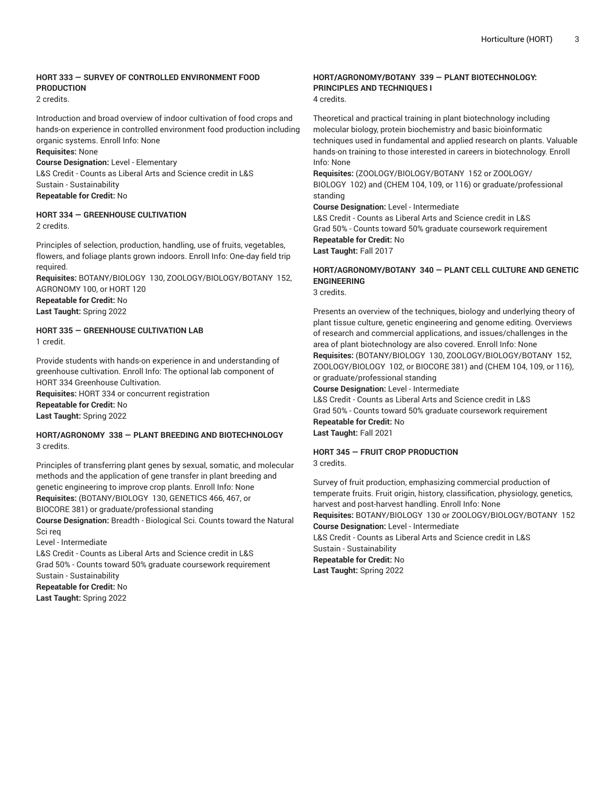### **HORT 333 — SURVEY OF CONTROLLED ENVIRONMENT FOOD PRODUCTION**

# 2 credits.

Introduction and broad overview of indoor cultivation of food crops and hands-on experience in controlled environment food production including organic systems. Enroll Info: None

#### **Requisites:** None

**Course Designation:** Level - Elementary

L&S Credit - Counts as Liberal Arts and Science credit in L&S Sustain - Sustainability

**Repeatable for Credit:** No

# **HORT 334 — GREENHOUSE CULTIVATION**

2 credits.

Principles of selection, production, handling, use of fruits, vegetables, flowers, and foliage plants grown indoors. Enroll Info: One-day field trip required.

**Requisites:** BOTANY/BIOLOGY 130, ZOOLOGY/BIOLOGY/BOTANY 152, AGRONOMY 100, or HORT 120 **Repeatable for Credit:** No **Last Taught:** Spring 2022

#### **HORT 335 — GREENHOUSE CULTIVATION LAB** 1 credit.

Provide students with hands-on experience in and understanding of greenhouse cultivation. Enroll Info: The optional lab component of HORT 334 Greenhouse Cultivation. **Requisites:** HORT 334 or concurrent registration

**Repeatable for Credit:** No **Last Taught:** Spring 2022

#### **HORT/AGRONOMY 338 — PLANT BREEDING AND BIOTECHNOLOGY** 3 credits.

Principles of transferring plant genes by sexual, somatic, and molecular methods and the application of gene transfer in plant breeding and genetic engineering to improve crop plants. Enroll Info: None **Requisites:** (BOTANY/BIOLOGY 130, GENETICS 466, 467, or BIOCORE 381) or graduate/professional standing

**Course Designation:** Breadth - Biological Sci. Counts toward the Natural Sci req

Level - Intermediate

L&S Credit - Counts as Liberal Arts and Science credit in L&S Grad 50% - Counts toward 50% graduate coursework requirement Sustain - Sustainability **Repeatable for Credit:** No **Last Taught:** Spring 2022

# **HORT/AGRONOMY/BOTANY 339 — PLANT BIOTECHNOLOGY: PRINCIPLES AND TECHNIQUES I**

4 credits.

Theoretical and practical training in plant biotechnology including molecular biology, protein biochemistry and basic bioinformatic techniques used in fundamental and applied research on plants. Valuable hands-on training to those interested in careers in biotechnology. Enroll Info: None

**Requisites:** (ZOOLOGY/BIOLOGY/BOTANY 152 or ZOOLOGY/ BIOLOGY 102) and (CHEM 104, 109, or 116) or graduate/professional standing

**Course Designation:** Level - Intermediate

L&S Credit - Counts as Liberal Arts and Science credit in L&S Grad 50% - Counts toward 50% graduate coursework requirement **Repeatable for Credit:** No **Last Taught:** Fall 2017

# **HORT/AGRONOMY/BOTANY 340 — PLANT CELL CULTURE AND GENETIC ENGINEERING**

3 credits.

Presents an overview of the techniques, biology and underlying theory of plant tissue culture, genetic engineering and genome editing. Overviews of research and commercial applications, and issues/challenges in the area of plant biotechnology are also covered. Enroll Info: None **Requisites:** (BOTANY/BIOLOGY 130, ZOOLOGY/BIOLOGY/BOTANY 152, ZOOLOGY/BIOLOGY 102, or BIOCORE 381) and (CHEM 104, 109, or 116), or graduate/professional standing

**Course Designation:** Level - Intermediate

L&S Credit - Counts as Liberal Arts and Science credit in L&S Grad 50% - Counts toward 50% graduate coursework requirement **Repeatable for Credit:** No

**Last Taught:** Fall 2021

# **HORT 345 — FRUIT CROP PRODUCTION**

3 credits.

Survey of fruit production, emphasizing commercial production of temperate fruits. Fruit origin, history, classification, physiology, genetics, harvest and post-harvest handling. Enroll Info: None **Requisites:** BOTANY/BIOLOGY 130 or ZOOLOGY/BIOLOGY/BOTANY 152 **Course Designation:** Level - Intermediate L&S Credit - Counts as Liberal Arts and Science credit in L&S Sustain - Sustainability **Repeatable for Credit:** No **Last Taught:** Spring 2022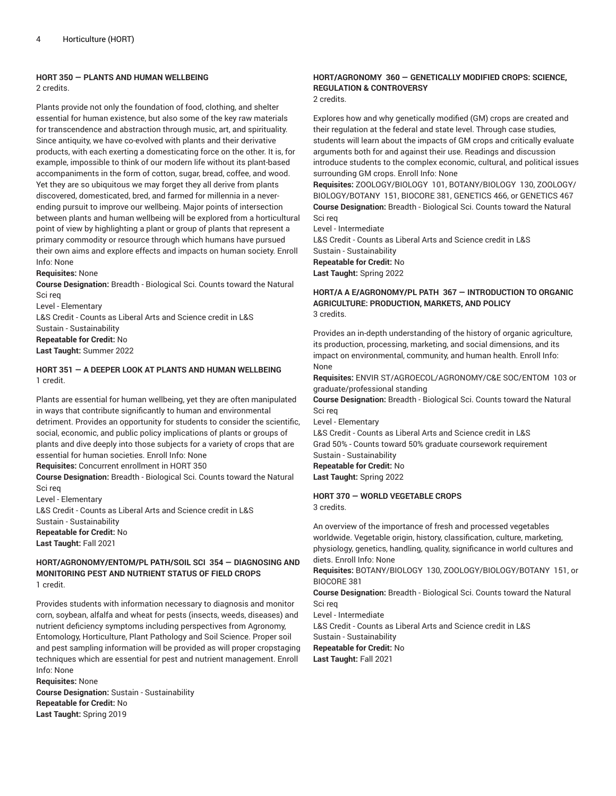#### **HORT 350 — PLANTS AND HUMAN WELLBEING** 2 credits.

Plants provide not only the foundation of food, clothing, and shelter essential for human existence, but also some of the key raw materials for transcendence and abstraction through music, art, and spirituality. Since antiquity, we have co-evolved with plants and their derivative products, with each exerting a domesticating force on the other. It is, for example, impossible to think of our modern life without its plant-based accompaniments in the form of cotton, sugar, bread, coffee, and wood. Yet they are so ubiquitous we may forget they all derive from plants discovered, domesticated, bred, and farmed for millennia in a neverending pursuit to improve our wellbeing. Major points of intersection between plants and human wellbeing will be explored from a horticultural point of view by highlighting a plant or group of plants that represent a primary commodity or resource through which humans have pursued their own aims and explore effects and impacts on human society. Enroll Info: None

**Requisites:** None

**Course Designation:** Breadth - Biological Sci. Counts toward the Natural Sci req

Level - Elementary L&S Credit - Counts as Liberal Arts and Science credit in L&S Sustain - Sustainability **Repeatable for Credit:** No **Last Taught:** Summer 2022

#### **HORT 351 — A DEEPER LOOK AT PLANTS AND HUMAN WELLBEING** 1 credit.

Plants are essential for human wellbeing, yet they are often manipulated in ways that contribute significantly to human and environmental detriment. Provides an opportunity for students to consider the scientific, social, economic, and public policy implications of plants or groups of plants and dive deeply into those subjects for a variety of crops that are essential for human societies. Enroll Info: None

**Requisites:** Concurrent enrollment in HORT 350

**Course Designation:** Breadth - Biological Sci. Counts toward the Natural Sci req

Level - Elementary L&S Credit - Counts as Liberal Arts and Science credit in L&S Sustain - Sustainability **Repeatable for Credit:** No **Last Taught:** Fall 2021

#### **HORT/AGRONOMY/ENTOM/PL PATH/SOIL SCI 354 — DIAGNOSING AND MONITORING PEST AND NUTRIENT STATUS OF FIELD CROPS** 1 credit.

Provides students with information necessary to diagnosis and monitor corn, soybean, alfalfa and wheat for pests (insects, weeds, diseases) and nutrient deficiency symptoms including perspectives from Agronomy, Entomology, Horticulture, Plant Pathology and Soil Science. Proper soil and pest sampling information will be provided as will proper cropstaging techniques which are essential for pest and nutrient management. Enroll Info: None

**Requisites:** None **Course Designation:** Sustain - Sustainability **Repeatable for Credit:** No **Last Taught:** Spring 2019

## **HORT/AGRONOMY 360 — GENETICALLY MODIFIED CROPS: SCIENCE, REGULATION & CONTROVERSY**

2 credits.

Explores how and why genetically modified (GM) crops are created and their regulation at the federal and state level. Through case studies, students will learn about the impacts of GM crops and critically evaluate arguments both for and against their use. Readings and discussion introduce students to the complex economic, cultural, and political issues surrounding GM crops. Enroll Info: None

**Requisites:** ZOOLOGY/BIOLOGY 101, BOTANY/BIOLOGY 130, ZOOLOGY/ BIOLOGY/BOTANY 151, BIOCORE 381, GENETICS 466, or GENETICS 467 **Course Designation:** Breadth - Biological Sci. Counts toward the Natural Sci req

Level - Intermediate

L&S Credit - Counts as Liberal Arts and Science credit in L&S Sustain - Sustainability **Repeatable for Credit:** No **Last Taught:** Spring 2022

#### **HORT/A A E/AGRONOMY/PL PATH 367 — INTRODUCTION TO ORGANIC AGRICULTURE: PRODUCTION, MARKETS, AND POLICY** 3 credits.

Provides an in-depth understanding of the history of organic agriculture, its production, processing, marketing, and social dimensions, and its impact on environmental, community, and human health. Enroll Info: None

**Requisites:** ENVIR ST/AGROECOL/AGRONOMY/C&E SOC/ENTOM 103 or graduate/professional standing

**Course Designation:** Breadth - Biological Sci. Counts toward the Natural Sci req

Level - Elementary

L&S Credit - Counts as Liberal Arts and Science credit in L&S Grad 50% - Counts toward 50% graduate coursework requirement Sustain - Sustainability **Repeatable for Credit:** No **Last Taught:** Spring 2022

**HORT 370 — WORLD VEGETABLE CROPS** 3 credits.

An overview of the importance of fresh and processed vegetables worldwide. Vegetable origin, history, classification, culture, marketing, physiology, genetics, handling, quality, significance in world cultures and diets. Enroll Info: None

**Requisites:** BOTANY/BIOLOGY 130, ZOOLOGY/BIOLOGY/BOTANY 151, or BIOCORE 381

**Course Designation:** Breadth - Biological Sci. Counts toward the Natural Sci req

Level - Intermediate L&S Credit - Counts as Liberal Arts and Science credit in L&S Sustain - Sustainability **Repeatable for Credit:** No **Last Taught:** Fall 2021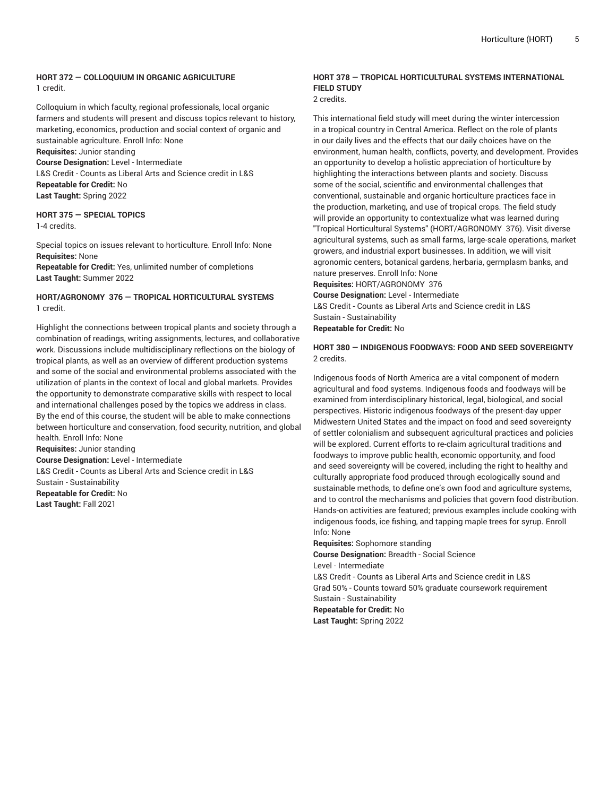#### **HORT 372 — COLLOQUIUM IN ORGANIC AGRICULTURE** 1 credit.

Colloquium in which faculty, regional professionals, local organic farmers and students will present and discuss topics relevant to history, marketing, economics, production and social context of organic and sustainable agriculture. Enroll Info: None

**Requisites:** Junior standing

**Course Designation:** Level - Intermediate

L&S Credit - Counts as Liberal Arts and Science credit in L&S **Repeatable for Credit:** No **Last Taught:** Spring 2022

**HORT 375 — SPECIAL TOPICS** 1-4 credits.

Special topics on issues relevant to horticulture. Enroll Info: None **Requisites:** None **Repeatable for Credit:** Yes, unlimited number of completions **Last Taught:** Summer 2022

#### **HORT/AGRONOMY 376 — TROPICAL HORTICULTURAL SYSTEMS** 1 credit.

Highlight the connections between tropical plants and society through a combination of readings, writing assignments, lectures, and collaborative work. Discussions include multidisciplinary reflections on the biology of tropical plants, as well as an overview of different production systems and some of the social and environmental problems associated with the utilization of plants in the context of local and global markets. Provides the opportunity to demonstrate comparative skills with respect to local and international challenges posed by the topics we address in class. By the end of this course, the student will be able to make connections between horticulture and conservation, food security, nutrition, and global health. Enroll Info: None **Requisites:** Junior standing **Course Designation:** Level - Intermediate L&S Credit - Counts as Liberal Arts and Science credit in L&S Sustain - Sustainability **Repeatable for Credit:** No

**Last Taught:** Fall 2021

## **HORT 378 — TROPICAL HORTICULTURAL SYSTEMS INTERNATIONAL FIELD STUDY**

2 credits.

This international field study will meet during the winter intercession in a tropical country in Central America. Reflect on the role of plants in our daily lives and the effects that our daily choices have on the environment, human health, conflicts, poverty, and development. Provides an opportunity to develop a holistic appreciation of horticulture by highlighting the interactions between plants and society. Discuss some of the social, scientific and environmental challenges that conventional, sustainable and organic horticulture practices face in the production, marketing, and use of tropical crops. The field study will provide an opportunity to contextualize what was learned during "Tropical Horticultural Systems" (HORT/AGRONOMY 376). Visit diverse agricultural systems, such as small farms, large-scale operations, market growers, and industrial export businesses. In addition, we will visit agronomic centers, botanical gardens, herbaria, germplasm banks, and nature preserves. Enroll Info: None **Requisites:** HORT/AGRONOMY 376

**Course Designation:** Level - Intermediate L&S Credit - Counts as Liberal Arts and Science credit in L&S Sustain - Sustainability **Repeatable for Credit:** No

#### **HORT 380 — INDIGENOUS FOODWAYS: FOOD AND SEED SOVEREIGNTY** 2 credits.

Indigenous foods of North America are a vital component of modern agricultural and food systems. Indigenous foods and foodways will be examined from interdisciplinary historical, legal, biological, and social perspectives. Historic indigenous foodways of the present-day upper Midwestern United States and the impact on food and seed sovereignty of settler colonialism and subsequent agricultural practices and policies will be explored. Current efforts to re-claim agricultural traditions and foodways to improve public health, economic opportunity, and food and seed sovereignty will be covered, including the right to healthy and culturally appropriate food produced through ecologically sound and sustainable methods, to define one's own food and agriculture systems, and to control the mechanisms and policies that govern food distribution. Hands-on activities are featured; previous examples include cooking with indigenous foods, ice fishing, and tapping maple trees for syrup. Enroll Info: None

**Requisites:** Sophomore standing **Course Designation:** Breadth - Social Science Level - Intermediate L&S Credit - Counts as Liberal Arts and Science credit in L&S Grad 50% - Counts toward 50% graduate coursework requirement Sustain - Sustainability **Repeatable for Credit:** No **Last Taught:** Spring 2022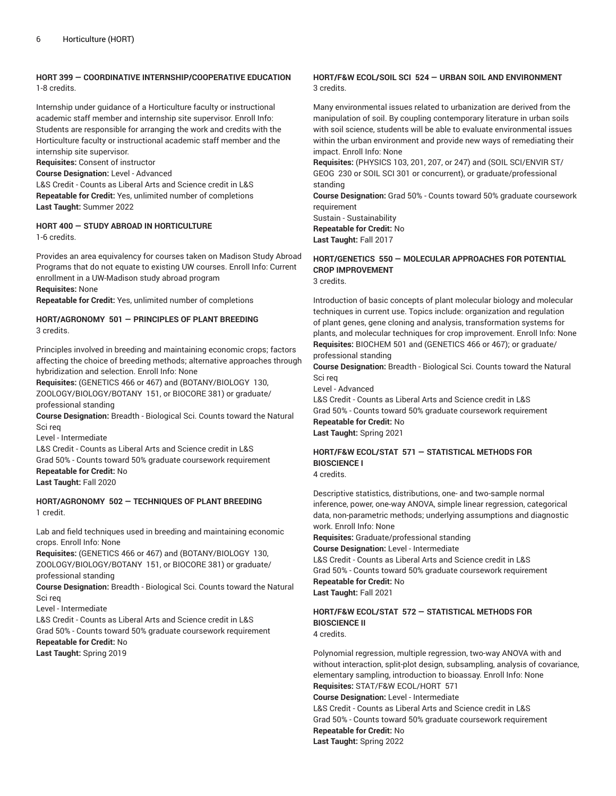#### **HORT 399 — COORDINATIVE INTERNSHIP/COOPERATIVE EDUCATION** 1-8 credits.

Internship under guidance of a Horticulture faculty or instructional academic staff member and internship site supervisor. Enroll Info: Students are responsible for arranging the work and credits with the Horticulture faculty or instructional academic staff member and the internship site supervisor.

**Requisites:** Consent of instructor

**Course Designation:** Level - Advanced

L&S Credit - Counts as Liberal Arts and Science credit in L&S **Repeatable for Credit:** Yes, unlimited number of completions **Last Taught:** Summer 2022

#### **HORT 400 — STUDY ABROAD IN HORTICULTURE** 1-6 credits.

Provides an area equivalency for courses taken on Madison Study Abroad Programs that do not equate to existing UW courses. Enroll Info: Current enrollment in a UW-Madison study abroad program

#### **Requisites:** None

**Repeatable for Credit:** Yes, unlimited number of completions

#### **HORT/AGRONOMY 501 — PRINCIPLES OF PLANT BREEDING** 3 credits.

Principles involved in breeding and maintaining economic crops; factors affecting the choice of breeding methods; alternative approaches through hybridization and selection. Enroll Info: None

**Requisites:** (GENETICS 466 or 467) and (BOTANY/BIOLOGY 130, ZOOLOGY/BIOLOGY/BOTANY 151, or BIOCORE 381) or graduate/ professional standing

**Course Designation:** Breadth - Biological Sci. Counts toward the Natural Sci req

Level - Intermediate

L&S Credit - Counts as Liberal Arts and Science credit in L&S Grad 50% - Counts toward 50% graduate coursework requirement **Repeatable for Credit:** No

**Last Taught:** Fall 2020

#### **HORT/AGRONOMY 502 — TECHNIQUES OF PLANT BREEDING** 1 credit.

Lab and field techniques used in breeding and maintaining economic crops. Enroll Info: None

**Requisites:** (GENETICS 466 or 467) and (BOTANY/BIOLOGY 130, ZOOLOGY/BIOLOGY/BOTANY 151, or BIOCORE 381) or graduate/ professional standing

**Course Designation:** Breadth - Biological Sci. Counts toward the Natural Sci req

Level - Intermediate

L&S Credit - Counts as Liberal Arts and Science credit in L&S

Grad 50% - Counts toward 50% graduate coursework requirement **Repeatable for Credit:** No

**Last Taught:** Spring 2019

#### **HORT/F&W ECOL/SOIL SCI 524 — URBAN SOIL AND ENVIRONMENT** 3 credits.

Many environmental issues related to urbanization are derived from the manipulation of soil. By coupling contemporary literature in urban soils with soil science, students will be able to evaluate environmental issues within the urban environment and provide new ways of remediating their impact. Enroll Info: None

**Requisites:** (PHYSICS 103, 201, 207, or 247) and (SOIL SCI/ENVIR ST/ GEOG 230 or SOIL SCI 301 or concurrent), or graduate/professional standing

**Course Designation:** Grad 50% - Counts toward 50% graduate coursework requirement

Sustain - Sustainability **Repeatable for Credit:** No **Last Taught:** Fall 2017

# **HORT/GENETICS 550 — MOLECULAR APPROACHES FOR POTENTIAL CROP IMPROVEMENT**

3 credits.

Introduction of basic concepts of plant molecular biology and molecular techniques in current use. Topics include: organization and regulation of plant genes, gene cloning and analysis, transformation systems for plants, and molecular techniques for crop improvement. Enroll Info: None **Requisites:** BIOCHEM 501 and (GENETICS 466 or 467); or graduate/ professional standing

**Course Designation:** Breadth - Biological Sci. Counts toward the Natural Sci req

Level - Advanced

L&S Credit - Counts as Liberal Arts and Science credit in L&S Grad 50% - Counts toward 50% graduate coursework requirement **Repeatable for Credit:** No **Last Taught:** Spring 2021

# **HORT/F&W ECOL/STAT 571 — STATISTICAL METHODS FOR BIOSCIENCE I**

4 credits.

Descriptive statistics, distributions, one- and two-sample normal inference, power, one-way ANOVA, simple linear regression, categorical data, non-parametric methods; underlying assumptions and diagnostic work. Enroll Info: None

**Requisites:** Graduate/professional standing

**Course Designation:** Level - Intermediate L&S Credit - Counts as Liberal Arts and Science credit in L&S Grad 50% - Counts toward 50% graduate coursework requirement **Repeatable for Credit:** No **Last Taught:** Fall 2021

# **HORT/F&W ECOL/STAT 572 — STATISTICAL METHODS FOR BIOSCIENCE II**

4 credits.

Polynomial regression, multiple regression, two-way ANOVA with and without interaction, split-plot design, subsampling, analysis of covariance, elementary sampling, introduction to bioassay. Enroll Info: None **Requisites:** STAT/F&W ECOL/HORT 571 **Course Designation:** Level - Intermediate L&S Credit - Counts as Liberal Arts and Science credit in L&S Grad 50% - Counts toward 50% graduate coursework requirement **Repeatable for Credit:** No

**Last Taught:** Spring 2022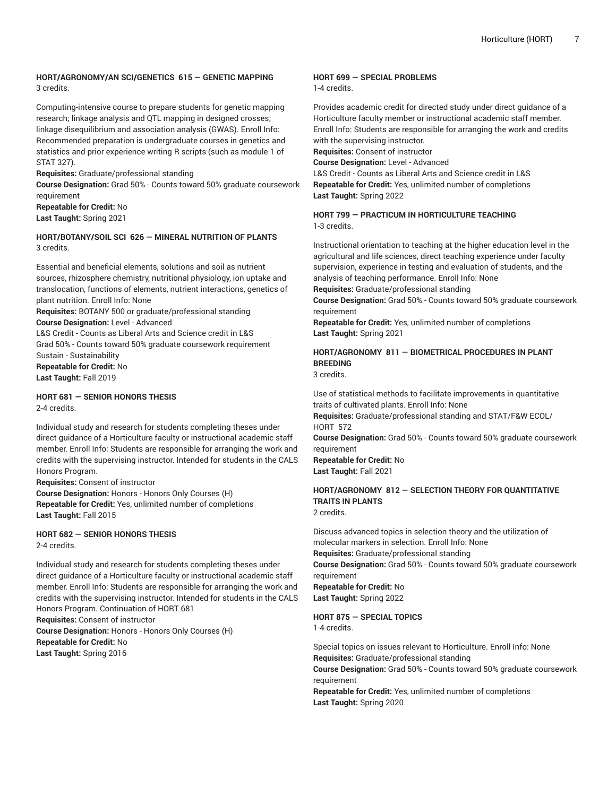#### **HORT/AGRONOMY/AN SCI/GENETICS 615 — GENETIC MAPPING** 3 credits.

Computing-intensive course to prepare students for genetic mapping research; linkage analysis and QTL mapping in designed crosses; linkage disequilibrium and association analysis (GWAS). Enroll Info: Recommended preparation is undergraduate courses in genetics and statistics and prior experience writing R scripts (such as module 1 of STAT 327).

**Requisites:** Graduate/professional standing

**Course Designation:** Grad 50% - Counts toward 50% graduate coursework requirement

**Repeatable for Credit:** No **Last Taught:** Spring 2021

#### **HORT/BOTANY/SOIL SCI 626 — MINERAL NUTRITION OF PLANTS** 3 credits.

Essential and beneficial elements, solutions and soil as nutrient sources, rhizosphere chemistry, nutritional physiology, ion uptake and translocation, functions of elements, nutrient interactions, genetics of plant nutrition. Enroll Info: None

**Requisites:** BOTANY 500 or graduate/professional standing **Course Designation:** Level - Advanced L&S Credit - Counts as Liberal Arts and Science credit in L&S Grad 50% - Counts toward 50% graduate coursework requirement Sustain - Sustainability **Repeatable for Credit:** No **Last Taught:** Fall 2019

#### **HORT 681 — SENIOR HONORS THESIS** 2-4 credits.

Individual study and research for students completing theses under direct guidance of a Horticulture faculty or instructional academic staff member. Enroll Info: Students are responsible for arranging the work and credits with the supervising instructor. Intended for students in the CALS Honors Program.

**Requisites:** Consent of instructor

**Course Designation:** Honors - Honors Only Courses (H) **Repeatable for Credit:** Yes, unlimited number of completions **Last Taught:** Fall 2015

**HORT 682 — SENIOR HONORS THESIS** 2-4 credits.

Individual study and research for students completing theses under direct guidance of a Horticulture faculty or instructional academic staff member. Enroll Info: Students are responsible for arranging the work and credits with the supervising instructor. Intended for students in the CALS Honors Program. Continuation of HORT 681

**Requisites:** Consent of instructor

**Course Designation:** Honors - Honors Only Courses (H) **Repeatable for Credit:** No **Last Taught:** Spring 2016

#### **HORT 699 — SPECIAL PROBLEMS**

1-4 credits.

Provides academic credit for directed study under direct guidance of a Horticulture faculty member or instructional academic staff member. Enroll Info: Students are responsible for arranging the work and credits with the supervising instructor.

**Requisites:** Consent of instructor

**Course Designation:** Level - Advanced

L&S Credit - Counts as Liberal Arts and Science credit in L&S **Repeatable for Credit:** Yes, unlimited number of completions **Last Taught:** Spring 2022

#### **HORT 799 — PRACTICUM IN HORTICULTURE TEACHING** 1-3 credits.

Instructional orientation to teaching at the higher education level in the agricultural and life sciences, direct teaching experience under faculty supervision, experience in testing and evaluation of students, and the analysis of teaching performance. Enroll Info: None

**Requisites:** Graduate/professional standing

**Course Designation:** Grad 50% - Counts toward 50% graduate coursework requirement

**Repeatable for Credit:** Yes, unlimited number of completions **Last Taught:** Spring 2021

# **HORT/AGRONOMY 811 — BIOMETRICAL PROCEDURES IN PLANT BREEDING**

3 credits.

Use of statistical methods to facilitate improvements in quantitative traits of cultivated plants. Enroll Info: None **Requisites:** Graduate/professional standing and STAT/F&W ECOL/ HORT 572

**Course Designation:** Grad 50% - Counts toward 50% graduate coursework requirement

**Repeatable for Credit:** No **Last Taught:** Fall 2021

# **HORT/AGRONOMY 812 — SELECTION THEORY FOR QUANTITATIVE TRAITS IN PLANTS**

2 credits.

Discuss advanced topics in selection theory and the utilization of molecular markers in selection. Enroll Info: None **Requisites:** Graduate/professional standing **Course Designation:** Grad 50% - Counts toward 50% graduate coursework requirement **Repeatable for Credit:** No **Last Taught:** Spring 2022

**HORT 875 — SPECIAL TOPICS**

1-4 credits.

Special topics on issues relevant to Horticulture. Enroll Info: None **Requisites:** Graduate/professional standing **Course Designation:** Grad 50% - Counts toward 50% graduate coursework requirement

**Repeatable for Credit:** Yes, unlimited number of completions **Last Taught:** Spring 2020